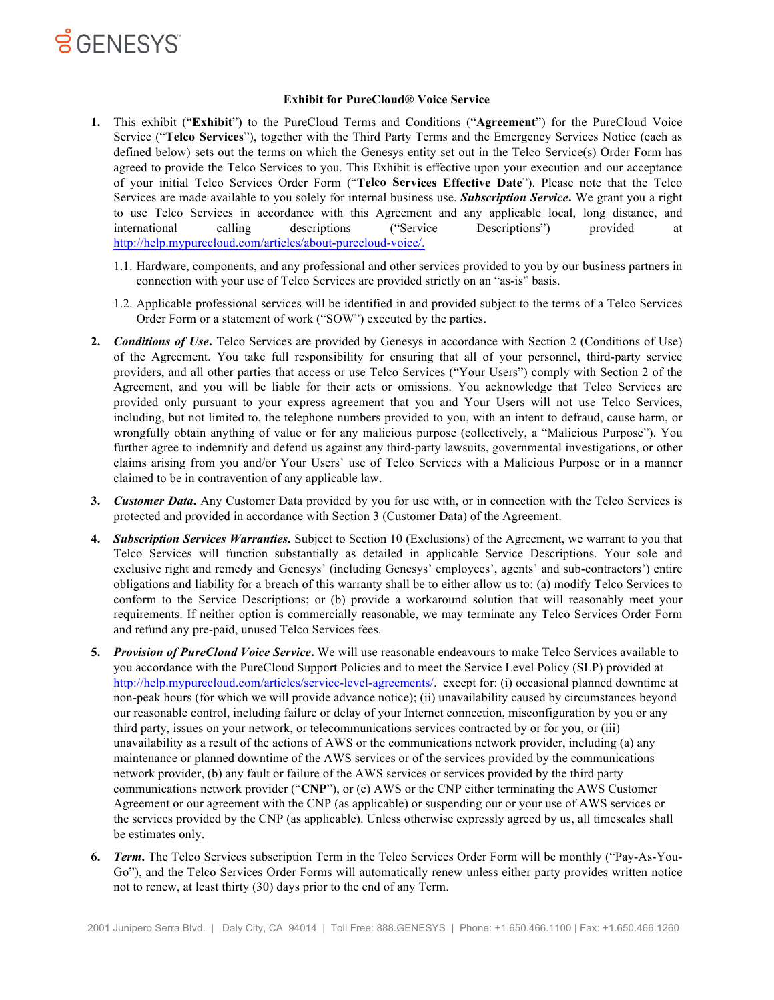

#### **Exhibit for PureCloud® Voice Service**

- **1.** This exhibit ("**Exhibit**") to the PureCloud Terms and Conditions ("**Agreement**") for the PureCloud Voice Service ("**Telco Services**"), together with the Third Party Terms and the Emergency Services Notice (each as defined below) sets out the terms on which the Genesys entity set out in the Telco Service(s) Order Form has agreed to provide the Telco Services to you. This Exhibit is effective upon your execution and our acceptance of your initial Telco Services Order Form ("**Telco Services Effective Date**"). Please note that the Telco Services are made available to you solely for internal business use. *Subscription Service***.** We grant you a right to use Telco Services in accordance with this Agreement and any applicable local, long distance, and international calling descriptions ("Service Descriptions") provided at http://help.mypurecloud.com/articles/about-purecloud-voice/.
	- 1.1. Hardware, components, and any professional and other services provided to you by our business partners in connection with your use of Telco Services are provided strictly on an "as-is" basis.
	- 1.2. Applicable professional services will be identified in and provided subject to the terms of a Telco Services Order Form or a statement of work ("SOW") executed by the parties.
- **2.** *Conditions of Use*. Telco Services are provided by Genesys in accordance with Section 2 (Conditions of Use) of the Agreement. You take full responsibility for ensuring that all of your personnel, third-party service providers, and all other parties that access or use Telco Services ("Your Users") comply with Section 2 of the Agreement, and you will be liable for their acts or omissions. You acknowledge that Telco Services are provided only pursuant to your express agreement that you and Your Users will not use Telco Services, including, but not limited to, the telephone numbers provided to you, with an intent to defraud, cause harm, or wrongfully obtain anything of value or for any malicious purpose (collectively, a "Malicious Purpose"). You further agree to indemnify and defend us against any third-party lawsuits, governmental investigations, or other claims arising from you and/or Your Users' use of Telco Services with a Malicious Purpose or in a manner claimed to be in contravention of any applicable law.
- **3.** *Customer Data***.** Any Customer Data provided by you for use with, or in connection with the Telco Services is protected and provided in accordance with Section 3 (Customer Data) of the Agreement.
- **4.** *Subscription Services Warranties***.** Subject to Section 10 (Exclusions) of the Agreement, we warrant to you that Telco Services will function substantially as detailed in applicable Service Descriptions. Your sole and exclusive right and remedy and Genesys' (including Genesys' employees', agents' and sub-contractors') entire obligations and liability for a breach of this warranty shall be to either allow us to: (a) modify Telco Services to conform to the Service Descriptions; or (b) provide a workaround solution that will reasonably meet your requirements. If neither option is commercially reasonable, we may terminate any Telco Services Order Form and refund any pre-paid, unused Telco Services fees.
- **5.** *Provision of PureCloud Voice Service***.** We will use reasonable endeavours to make Telco Services available to you accordance with the PureCloud Support Policies and to meet the Service Level Policy (SLP) provided at http://help.mypurecloud.com/articles/service-level-agreements/. except for: (i) occasional planned downtime at non-peak hours (for which we will provide advance notice); (ii) unavailability caused by circumstances beyond our reasonable control, including failure or delay of your Internet connection, misconfiguration by you or any third party, issues on your network, or telecommunications services contracted by or for you, or (iii) unavailability as a result of the actions of AWS or the communications network provider, including (a) any maintenance or planned downtime of the AWS services or of the services provided by the communications network provider, (b) any fault or failure of the AWS services or services provided by the third party communications network provider ("**CNP**"), or (c) AWS or the CNP either terminating the AWS Customer Agreement or our agreement with the CNP (as applicable) or suspending our or your use of AWS services or the services provided by the CNP (as applicable). Unless otherwise expressly agreed by us, all timescales shall be estimates only.
- **6.** *Term***.** The Telco Services subscription Term in the Telco Services Order Form will be monthly ("Pay-As-You-Go"), and the Telco Services Order Forms will automatically renew unless either party provides written notice not to renew, at least thirty (30) days prior to the end of any Term.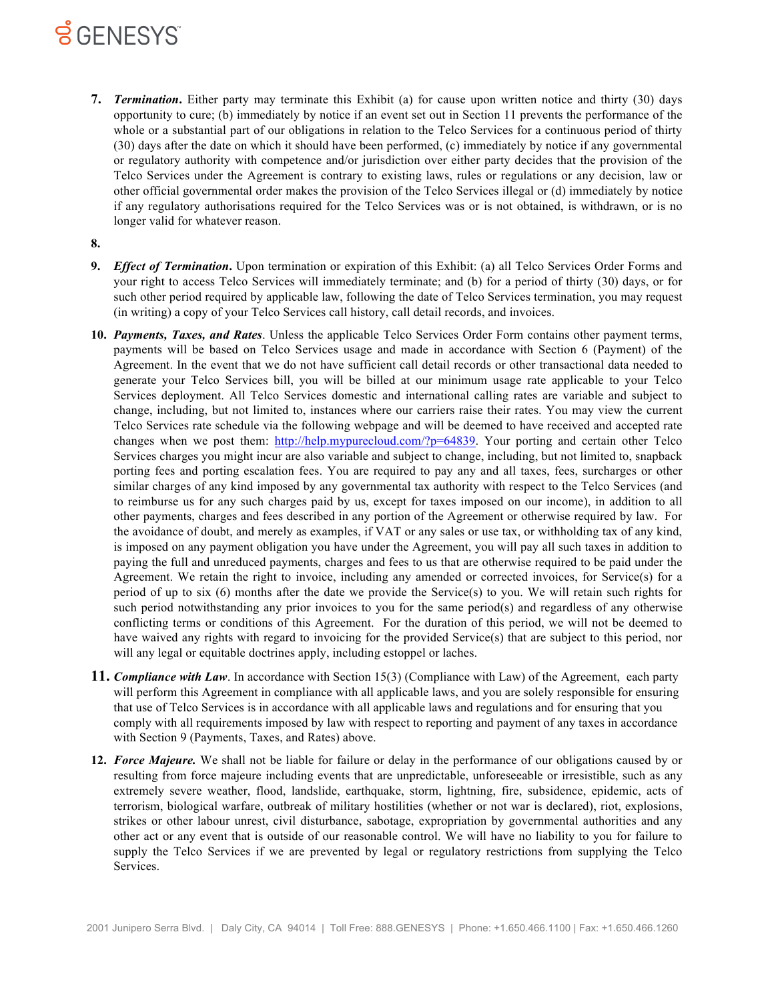# **SGENESYS**

- **7.** *Termination***.** Either party may terminate this Exhibit (a) for cause upon written notice and thirty (30) days opportunity to cure; (b) immediately by notice if an event set out in Section 11 prevents the performance of the whole or a substantial part of our obligations in relation to the Telco Services for a continuous period of thirty (30) days after the date on which it should have been performed, (c) immediately by notice if any governmental or regulatory authority with competence and/or jurisdiction over either party decides that the provision of the Telco Services under the Agreement is contrary to existing laws, rules or regulations or any decision, law or other official governmental order makes the provision of the Telco Services illegal or (d) immediately by notice if any regulatory authorisations required for the Telco Services was or is not obtained, is withdrawn, or is no longer valid for whatever reason.
- **8.**
- **9.** *Effect of Termination***.** Upon termination or expiration of this Exhibit: (a) all Telco Services Order Forms and your right to access Telco Services will immediately terminate; and (b) for a period of thirty (30) days, or for such other period required by applicable law, following the date of Telco Services termination, you may request (in writing) a copy of your Telco Services call history, call detail records, and invoices.
- **10.** *Payments, Taxes, and Rates*. Unless the applicable Telco Services Order Form contains other payment terms, payments will be based on Telco Services usage and made in accordance with Section 6 (Payment) of the Agreement. In the event that we do not have sufficient call detail records or other transactional data needed to generate your Telco Services bill, you will be billed at our minimum usage rate applicable to your Telco Services deployment. All Telco Services domestic and international calling rates are variable and subject to change, including, but not limited to, instances where our carriers raise their rates. You may view the current Telco Services rate schedule via the following webpage and will be deemed to have received and accepted rate changes when we post them: http://help.mypurecloud.com/?p=64839. Your porting and certain other Telco Services charges you might incur are also variable and subject to change, including, but not limited to, snapback porting fees and porting escalation fees. You are required to pay any and all taxes, fees, surcharges or other similar charges of any kind imposed by any governmental tax authority with respect to the Telco Services (and to reimburse us for any such charges paid by us, except for taxes imposed on our income), in addition to all other payments, charges and fees described in any portion of the Agreement or otherwise required by law. For the avoidance of doubt, and merely as examples, if VAT or any sales or use tax, or withholding tax of any kind, is imposed on any payment obligation you have under the Agreement, you will pay all such taxes in addition to paying the full and unreduced payments, charges and fees to us that are otherwise required to be paid under the Agreement. We retain the right to invoice, including any amended or corrected invoices, for Service(s) for a period of up to six (6) months after the date we provide the Service(s) to you. We will retain such rights for such period notwithstanding any prior invoices to you for the same period(s) and regardless of any otherwise conflicting terms or conditions of this Agreement. For the duration of this period, we will not be deemed to have waived any rights with regard to invoicing for the provided Service(s) that are subject to this period, nor will any legal or equitable doctrines apply, including estoppel or laches.
- **11.** *Compliance with Law*. In accordance with Section 15(3) (Compliance with Law) of the Agreement, each party will perform this Agreement in compliance with all applicable laws, and you are solely responsible for ensuring that use of Telco Services is in accordance with all applicable laws and regulations and for ensuring that you comply with all requirements imposed by law with respect to reporting and payment of any taxes in accordance with Section 9 (Payments, Taxes, and Rates) above.
- **12.** *Force Majeure.* We shall not be liable for failure or delay in the performance of our obligations caused by or resulting from force majeure including events that are unpredictable, unforeseeable or irresistible, such as any extremely severe weather, flood, landslide, earthquake, storm, lightning, fire, subsidence, epidemic, acts of terrorism, biological warfare, outbreak of military hostilities (whether or not war is declared), riot, explosions, strikes or other labour unrest, civil disturbance, sabotage, expropriation by governmental authorities and any other act or any event that is outside of our reasonable control. We will have no liability to you for failure to supply the Telco Services if we are prevented by legal or regulatory restrictions from supplying the Telco Services.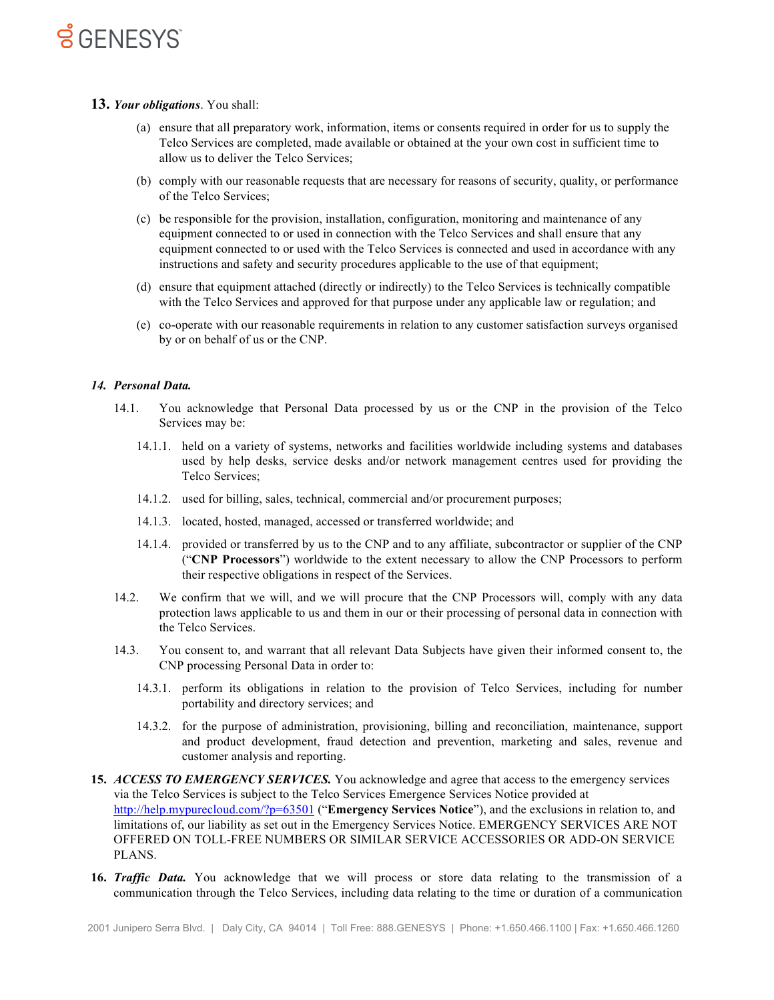## **SGENESYS**

#### **13.** *Your obligations*. You shall:

- (a) ensure that all preparatory work, information, items or consents required in order for us to supply the Telco Services are completed, made available or obtained at the your own cost in sufficient time to allow us to deliver the Telco Services;
- (b) comply with our reasonable requests that are necessary for reasons of security, quality, or performance of the Telco Services;
- (c) be responsible for the provision, installation, configuration, monitoring and maintenance of any equipment connected to or used in connection with the Telco Services and shall ensure that any equipment connected to or used with the Telco Services is connected and used in accordance with any instructions and safety and security procedures applicable to the use of that equipment;
- (d) ensure that equipment attached (directly or indirectly) to the Telco Services is technically compatible with the Telco Services and approved for that purpose under any applicable law or regulation; and
- (e) co-operate with our reasonable requirements in relation to any customer satisfaction surveys organised by or on behalf of us or the CNP.

#### *14. Personal Data.*

- 14.1. You acknowledge that Personal Data processed by us or the CNP in the provision of the Telco Services may be:
	- 14.1.1. held on a variety of systems, networks and facilities worldwide including systems and databases used by help desks, service desks and/or network management centres used for providing the Telco Services;
	- 14.1.2. used for billing, sales, technical, commercial and/or procurement purposes;
	- 14.1.3. located, hosted, managed, accessed or transferred worldwide; and
	- 14.1.4. provided or transferred by us to the CNP and to any affiliate, subcontractor or supplier of the CNP ("**CNP Processors**") worldwide to the extent necessary to allow the CNP Processors to perform their respective obligations in respect of the Services.
- 14.2. We confirm that we will, and we will procure that the CNP Processors will, comply with any data protection laws applicable to us and them in our or their processing of personal data in connection with the Telco Services.
- 14.3. You consent to, and warrant that all relevant Data Subjects have given their informed consent to, the CNP processing Personal Data in order to:
	- 14.3.1. perform its obligations in relation to the provision of Telco Services, including for number portability and directory services; and
	- 14.3.2. for the purpose of administration, provisioning, billing and reconciliation, maintenance, support and product development, fraud detection and prevention, marketing and sales, revenue and customer analysis and reporting.
- **15.** *ACCESS TO EMERGENCY SERVICES.* You acknowledge and agree that access to the emergency services via the Telco Services is subject to the Telco Services Emergence Services Notice provided at http://help.mypurecloud.com/?p=63501 ("**Emergency Services Notice**"), and the exclusions in relation to, and limitations of, our liability as set out in the Emergency Services Notice. EMERGENCY SERVICES ARE NOT OFFERED ON TOLL-FREE NUMBERS OR SIMILAR SERVICE ACCESSORIES OR ADD-ON SERVICE PLANS.
- **16.** *Traffic Data.* You acknowledge that we will process or store data relating to the transmission of a communication through the Telco Services, including data relating to the time or duration of a communication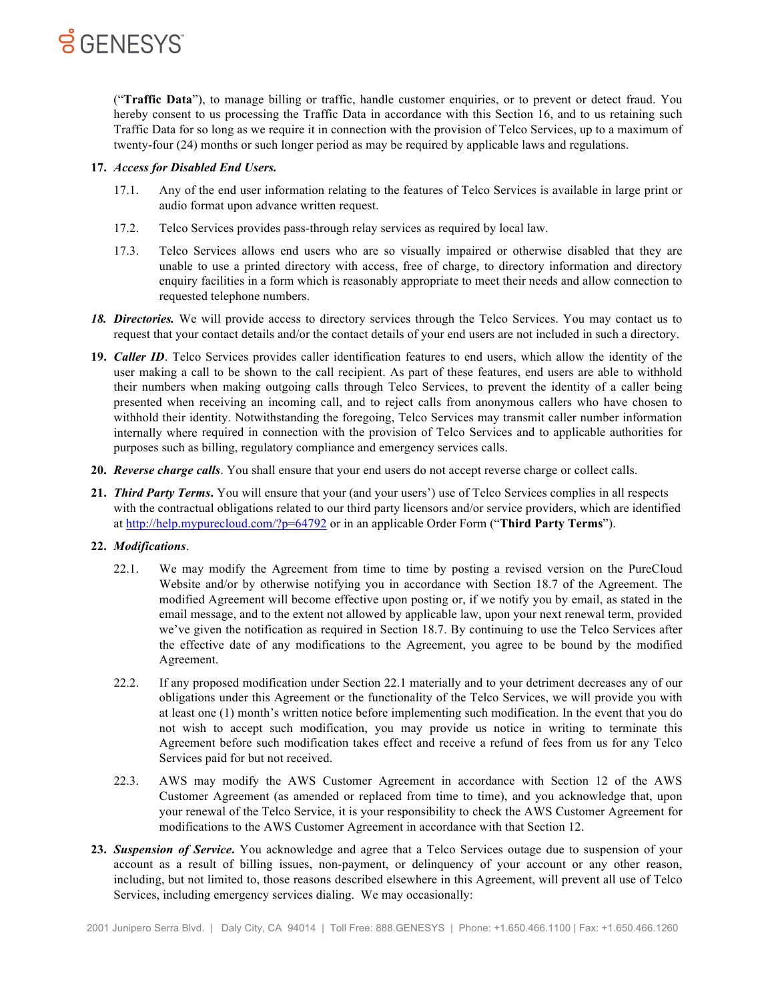

("**Traffic Data**"), to manage billing or traffic, handle customer enquiries, or to prevent or detect fraud. You hereby consent to us processing the Traffic Data in accordance with this Section 16, and to us retaining such Traffic Data for so long as we require it in connection with the provision of Telco Services, up to a maximum of twenty-four (24) months or such longer period as may be required by applicable laws and regulations.

### **17.** *Access for Disabled End Users.*

- 17.1. Any of the end user information relating to the features of Telco Services is available in large print or audio format upon advance written request.
- 17.2. Telco Services provides pass-through relay services as required by local law.
- 17.3. Telco Services allows end users who are so visually impaired or otherwise disabled that they are unable to use a printed directory with access, free of charge, to directory information and directory enquiry facilities in a form which is reasonably appropriate to meet their needs and allow connection to requested telephone numbers.
- *18. Directories.* We will provide access to directory services through the Telco Services. You may contact us to request that your contact details and/or the contact details of your end users are not included in such a directory.
- **19.** *Caller ID*. Telco Services provides caller identification features to end users, which allow the identity of the user making a call to be shown to the call recipient. As part of these features, end users are able to withhold their numbers when making outgoing calls through Telco Services, to prevent the identity of a caller being presented when receiving an incoming call, and to reject calls from anonymous callers who have chosen to withhold their identity. Notwithstanding the foregoing, Telco Services may transmit caller number information internally where required in connection with the provision of Telco Services and to applicable authorities for purposes such as billing, regulatory compliance and emergency services calls.
- **20.** *Reverse charge calls*. You shall ensure that your end users do not accept reverse charge or collect calls.
- **21.** *Third Party Terms***.** You will ensure that your (and your users') use of Telco Services complies in all respects with the contractual obligations related to our third party licensors and/or service providers, which are identified at http://help.mypurecloud.com/?p=64792 or in an applicable Order Form ("**Third Party Terms**").

#### **22.** *Modifications*.

- 22.1. We may modify the Agreement from time to time by posting a revised version on the PureCloud Website and/or by otherwise notifying you in accordance with Section 18.7 of the Agreement. The modified Agreement will become effective upon posting or, if we notify you by email, as stated in the email message, and to the extent not allowed by applicable law, upon your next renewal term, provided we've given the notification as required in Section 18.7. By continuing to use the Telco Services after the effective date of any modifications to the Agreement, you agree to be bound by the modified Agreement.
- 22.2. If any proposed modification under Section 22.1 materially and to your detriment decreases any of our obligations under this Agreement or the functionality of the Telco Services, we will provide you with at least one (1) month's written notice before implementing such modification. In the event that you do not wish to accept such modification, you may provide us notice in writing to terminate this Agreement before such modification takes effect and receive a refund of fees from us for any Telco Services paid for but not received.
- 22.3. AWS may modify the AWS Customer Agreement in accordance with Section 12 of the AWS Customer Agreement (as amended or replaced from time to time), and you acknowledge that, upon your renewal of the Telco Service, it is your responsibility to check the AWS Customer Agreement for modifications to the AWS Customer Agreement in accordance with that Section 12.
- **23.** *Suspension of Service***.** You acknowledge and agree that a Telco Services outage due to suspension of your account as a result of billing issues, non-payment, or delinquency of your account or any other reason, including, but not limited to, those reasons described elsewhere in this Agreement, will prevent all use of Telco Services, including emergency services dialing. We may occasionally: